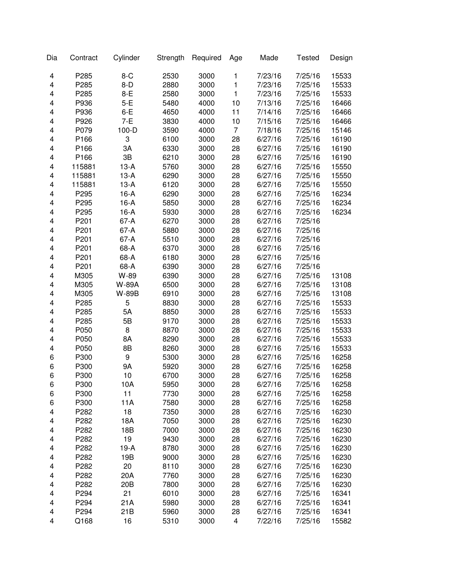| Dia | Contract | Cylinder        | Strength | Required | Age                     | Made    | <b>Tested</b> | Design |
|-----|----------|-----------------|----------|----------|-------------------------|---------|---------------|--------|
| 4   | P285     | $8-C$           | 2530     | 3000     | 1                       | 7/23/16 | 7/25/16       | 15533  |
| 4   | P285     | $8-D$           | 2880     | 3000     | $\mathbf{1}$            | 7/23/16 | 7/25/16       | 15533  |
| 4   | P285     | $8-E$           | 2580     | 3000     | $\mathbf{1}$            | 7/23/16 | 7/25/16       | 15533  |
| 4   | P936     | $5-E$           | 5480     | 4000     | 10                      | 7/13/16 | 7/25/16       | 16466  |
| 4   | P936     | $6-E$           | 4650     | 4000     | 11                      | 7/14/16 | 7/25/16       | 16466  |
| 4   | P926     | 7-E             | 3830     | 4000     | 10                      | 7/15/16 | 7/25/16       | 16466  |
| 4   | P079     | $100 - D$       | 3590     | 4000     | $\overline{7}$          | 7/18/16 | 7/25/16       | 15146  |
| 4   | P166     | 3               | 6100     | 3000     | 28                      | 6/27/16 | 7/25/16       | 16190  |
| 4   | P166     | 3A              | 6330     | 3000     | 28                      | 6/27/16 | 7/25/16       | 16190  |
| 4   | P166     | 3B              | 6210     | 3000     | 28                      | 6/27/16 | 7/25/16       | 16190  |
| 4   | 115881   | $13-A$          | 5760     | 3000     | 28                      | 6/27/16 | 7/25/16       | 15550  |
| 4   | 115881   | $13-A$          | 6290     | 3000     | 28                      | 6/27/16 | 7/25/16       | 15550  |
| 4   | 115881   | $13-A$          | 6120     | 3000     | 28                      | 6/27/16 | 7/25/16       | 15550  |
| 4   | P295     | $16-A$          | 6290     | 3000     | 28                      | 6/27/16 | 7/25/16       | 16234  |
| 4   | P295     | $16-A$          | 5850     | 3000     | 28                      | 6/27/16 | 7/25/16       | 16234  |
| 4   | P295     | $16-A$          | 5930     | 3000     | 28                      | 6/27/16 | 7/25/16       | 16234  |
| 4   | P201     | 67-A            | 6270     | 3000     | 28                      | 6/27/16 | 7/25/16       |        |
| 4   | P201     | 67-A            | 5880     | 3000     | 28                      | 6/27/16 | 7/25/16       |        |
| 4   | P201     | $67-A$          | 5510     | 3000     | 28                      | 6/27/16 | 7/25/16       |        |
| 4   | P201     | 68-A            | 6370     | 3000     | 28                      | 6/27/16 | 7/25/16       |        |
| 4   | P201     | 68-A            | 6180     | 3000     | 28                      | 6/27/16 | 7/25/16       |        |
| 4   | P201     | 68-A            | 6390     | 3000     | 28                      | 6/27/16 | 7/25/16       |        |
| 4   | M305     | W-89            | 6390     | 3000     | 28                      | 6/27/16 | 7/25/16       | 13108  |
| 4   | M305     | W-89A           | 6500     | 3000     | 28                      | 6/27/16 | 7/25/16       | 13108  |
| 4   | M305     | W-89B           | 6910     | 3000     | 28                      | 6/27/16 | 7/25/16       | 13108  |
| 4   | P285     | 5               | 8830     | 3000     | 28                      | 6/27/16 | 7/25/16       | 15533  |
| 4   | P285     | 5A              | 8850     | 3000     | 28                      | 6/27/16 | 7/25/16       | 15533  |
| 4   | P285     | 5B              | 9170     | 3000     | 28                      | 6/27/16 | 7/25/16       | 15533  |
| 4   | P050     | 8               | 8870     | 3000     | 28                      | 6/27/16 | 7/25/16       | 15533  |
| 4   | P050     | 8A              | 8290     | 3000     | 28                      | 6/27/16 | 7/25/16       | 15533  |
| 4   | P050     | 8B              | 8260     | 3000     | 28                      | 6/27/16 | 7/25/16       | 15533  |
| 6   | P300     | 9               | 5300     | 3000     | 28                      | 6/27/16 | 7/25/16       | 16258  |
| 6   | P300     | 9Α              | 5920     | 3000     | 28                      | 6/27/16 | 7/25/16       | 16258  |
| 6   | P300     | 10              | 6700     | 3000     | 28                      | 6/27/16 | 7/25/16       | 16258  |
| 6   | P300     | 10A             | 5950     | 3000     | 28                      | 6/27/16 | 7/25/16       | 16258  |
| 6   | P300     | 11              | 7730     | 3000     | 28                      | 6/27/16 | 7/25/16       | 16258  |
| 6   | P300     | 11A             | 7580     | 3000     | 28                      | 6/27/16 | 7/25/16       | 16258  |
| 4   | P282     | 18              | 7350     | 3000     | 28                      | 6/27/16 | 7/25/16       | 16230  |
| 4   | P282     | 18A             | 7050     | 3000     | 28                      | 6/27/16 | 7/25/16       | 16230  |
| 4   | P282     | 18B             | 7000     | 3000     | 28                      | 6/27/16 | 7/25/16       | 16230  |
| 4   | P282     | 19              | 9430     | 3000     | 28                      | 6/27/16 | 7/25/16       | 16230  |
| 4   | P282     | $19-A$          | 8780     | 3000     | 28                      | 6/27/16 | 7/25/16       | 16230  |
| 4   | P282     | 19B             | 9000     | 3000     | 28                      | 6/27/16 | 7/25/16       | 16230  |
| 4   | P282     | 20              | 8110     | 3000     | 28                      | 6/27/16 | 7/25/16       | 16230  |
| 4   | P282     | 20A             | 7760     | 3000     | 28                      | 6/27/16 | 7/25/16       | 16230  |
| 4   | P282     | 20 <sub>B</sub> | 7800     | 3000     | 28                      | 6/27/16 | 7/25/16       | 16230  |
| 4   | P294     | 21              | 6010     | 3000     | 28                      | 6/27/16 | 7/25/16       | 16341  |
| 4   | P294     | 21A             | 5980     | 3000     | 28                      | 6/27/16 | 7/25/16       | 16341  |
| 4   | P294     | 21B             | 5960     | 3000     | 28                      | 6/27/16 | 7/25/16       | 16341  |
| 4   | Q168     | 16              | 5310     | 3000     | $\overline{\mathbf{4}}$ | 7/22/16 | 7/25/16       | 15582  |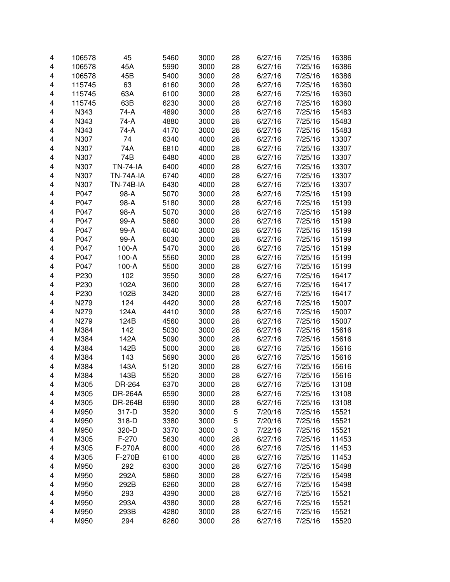| 4 | 106578 | 45               | 5460 | 3000 | 28 | 6/27/16 | 7/25/16 | 16386 |
|---|--------|------------------|------|------|----|---------|---------|-------|
| 4 | 106578 | 45A              | 5990 | 3000 | 28 | 6/27/16 | 7/25/16 | 16386 |
| 4 | 106578 | 45B              | 5400 | 3000 | 28 | 6/27/16 | 7/25/16 | 16386 |
| 4 | 115745 | 63               | 6160 | 3000 | 28 | 6/27/16 | 7/25/16 | 16360 |
| 4 | 115745 | 63A              | 6100 | 3000 | 28 | 6/27/16 | 7/25/16 | 16360 |
| 4 | 115745 | 63B              | 6230 | 3000 | 28 | 6/27/16 | 7/25/16 | 16360 |
| 4 | N343   | 74-A             | 4890 | 3000 | 28 | 6/27/16 | 7/25/16 | 15483 |
| 4 | N343   | 74-A             | 4880 | 3000 | 28 | 6/27/16 | 7/25/16 | 15483 |
| 4 | N343   | 74-A             | 4170 | 3000 | 28 | 6/27/16 | 7/25/16 | 15483 |
| 4 | N307   | 74               | 6340 | 4000 | 28 | 6/27/16 | 7/25/16 | 13307 |
| 4 | N307   | 74A              | 6810 | 4000 | 28 | 6/27/16 | 7/25/16 | 13307 |
| 4 | N307   | 74B              | 6480 | 4000 | 28 | 6/27/16 | 7/25/16 | 13307 |
| 4 | N307   | <b>TN-74-IA</b>  | 6400 | 4000 | 28 | 6/27/16 | 7/25/16 | 13307 |
| 4 | N307   | <b>TN-74A-IA</b> | 6740 | 4000 | 28 | 6/27/16 | 7/25/16 | 13307 |
| 4 | N307   | <b>TN-74B-IA</b> | 6430 | 4000 | 28 | 6/27/16 | 7/25/16 | 13307 |
| 4 | P047   | 98-A             | 5070 | 3000 | 28 | 6/27/16 | 7/25/16 | 15199 |
| 4 | P047   | 98-A             | 5180 | 3000 | 28 | 6/27/16 | 7/25/16 | 15199 |
| 4 | P047   | 98-A             | 5070 | 3000 | 28 | 6/27/16 | 7/25/16 | 15199 |
| 4 | P047   | 99-A             | 5860 | 3000 | 28 | 6/27/16 | 7/25/16 | 15199 |
| 4 | P047   | 99-A             | 6040 | 3000 | 28 | 6/27/16 | 7/25/16 | 15199 |
| 4 | P047   | 99-A             | 6030 | 3000 | 28 | 6/27/16 | 7/25/16 | 15199 |
| 4 | P047   | $100-A$          | 5470 | 3000 | 28 | 6/27/16 | 7/25/16 | 15199 |
| 4 | P047   | $100-A$          | 5560 | 3000 | 28 | 6/27/16 | 7/25/16 | 15199 |
| 4 | P047   | $100-A$          | 5500 | 3000 | 28 | 6/27/16 | 7/25/16 | 15199 |
| 4 | P230   | 102              | 3550 | 3000 | 28 | 6/27/16 | 7/25/16 | 16417 |
| 4 | P230   | 102A             | 3600 | 3000 | 28 | 6/27/16 | 7/25/16 | 16417 |
| 4 | P230   | 102B             | 3420 | 3000 | 28 | 6/27/16 | 7/25/16 | 16417 |
| 4 | N279   | 124              | 4420 | 3000 | 28 | 6/27/16 | 7/25/16 | 15007 |
| 4 | N279   | 124A             | 4410 | 3000 | 28 | 6/27/16 | 7/25/16 | 15007 |
| 4 | N279   | 124B             | 4560 | 3000 | 28 | 6/27/16 | 7/25/16 | 15007 |
| 4 | M384   | 142              | 5030 | 3000 | 28 | 6/27/16 | 7/25/16 | 15616 |
| 4 | M384   | 142A             | 5090 | 3000 | 28 | 6/27/16 | 7/25/16 | 15616 |
| 4 | M384   | 142B             | 5000 | 3000 | 28 | 6/27/16 | 7/25/16 | 15616 |
| 4 | M384   | 143              | 5690 | 3000 | 28 | 6/27/16 | 7/25/16 | 15616 |
| 4 | M384   | 143A             | 5120 | 3000 | 28 | 6/27/16 | 7/25/16 | 15616 |
| 4 | M384   | 143B             | 5520 | 3000 | 28 | 6/27/16 | 7/25/16 | 15616 |
| 4 | M305   | DR-264           | 6370 | 3000 | 28 | 6/27/16 | 7/25/16 | 13108 |
| 4 | M305   | <b>DR-264A</b>   | 6590 | 3000 | 28 | 6/27/16 | 7/25/16 | 13108 |
| 4 | M305   | <b>DR-264B</b>   | 6990 | 3000 | 28 | 6/27/16 | 7/25/16 | 13108 |
| 4 | M950   | 317-D            | 3520 | 3000 | 5  | 7/20/16 | 7/25/16 | 15521 |
| 4 | M950   | 318-D            | 3380 | 3000 | 5  | 7/20/16 | 7/25/16 | 15521 |
| 4 | M950   | 320-D            | 3370 | 3000 | 3  | 7/22/16 | 7/25/16 | 15521 |
| 4 | M305   | $F-270$          | 5630 | 4000 | 28 | 6/27/16 | 7/25/16 | 11453 |
| 4 | M305   | F-270A           | 6000 | 4000 | 28 | 6/27/16 | 7/25/16 | 11453 |
| 4 | M305   | F-270B           | 6100 | 4000 | 28 | 6/27/16 | 7/25/16 | 11453 |
| 4 | M950   | 292              | 6300 | 3000 | 28 | 6/27/16 | 7/25/16 | 15498 |
| 4 | M950   | 292A             | 5860 | 3000 | 28 | 6/27/16 | 7/25/16 | 15498 |
| 4 | M950   | 292B             | 6260 | 3000 | 28 | 6/27/16 | 7/25/16 | 15498 |
| 4 | M950   | 293              | 4390 | 3000 | 28 | 6/27/16 | 7/25/16 | 15521 |
| 4 | M950   | 293A             | 4380 | 3000 | 28 | 6/27/16 | 7/25/16 | 15521 |
| 4 | M950   | 293B             | 4280 | 3000 | 28 | 6/27/16 | 7/25/16 | 15521 |
| 4 | M950   | 294              | 6260 | 3000 | 28 | 6/27/16 | 7/25/16 | 15520 |
|   |        |                  |      |      |    |         |         |       |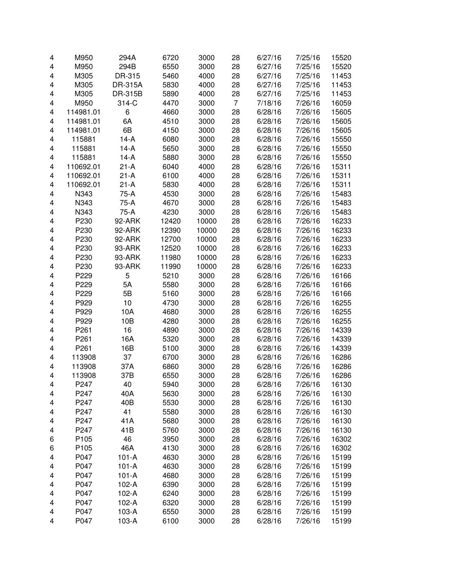| 4 | M950      | 294A    | 6720  | 3000  | 28 | 6/27/16 | 7/25/16 | 15520 |
|---|-----------|---------|-------|-------|----|---------|---------|-------|
| 4 | M950      | 294B    | 6550  | 3000  | 28 | 6/27/16 | 7/25/16 | 15520 |
| 4 | M305      | DR-315  | 5460  | 4000  | 28 | 6/27/16 | 7/25/16 | 11453 |
| 4 | M305      | DR-315A | 5830  | 4000  | 28 | 6/27/16 | 7/25/16 | 11453 |
| 4 | M305      | DR-315B | 5890  | 4000  | 28 | 6/27/16 | 7/25/16 | 11453 |
| 4 | M950      | 314-C   | 4470  | 3000  | 7  | 7/18/16 | 7/26/16 | 16059 |
| 4 | 114981.01 | 6       | 4660  | 3000  | 28 | 6/28/16 | 7/26/16 | 15605 |
| 4 | 114981.01 | 6A      | 4510  | 3000  | 28 | 6/28/16 | 7/26/16 | 15605 |
| 4 | 114981.01 | 6B      | 4150  | 3000  | 28 | 6/28/16 | 7/26/16 | 15605 |
| 4 | 115881    | $14-A$  | 6080  | 3000  | 28 | 6/28/16 | 7/26/16 | 15550 |
| 4 | 115881    | 14-A    | 5650  | 3000  | 28 | 6/28/16 | 7/26/16 | 15550 |
| 4 | 115881    | 14-A    | 5880  | 3000  | 28 | 6/28/16 | 7/26/16 | 15550 |
| 4 | 110692.01 | $21-A$  | 6040  | 4000  | 28 | 6/28/16 | 7/26/16 | 15311 |
| 4 | 110692.01 | $21-A$  | 6100  | 4000  | 28 | 6/28/16 | 7/26/16 | 15311 |
| 4 | 110692.01 | $21-A$  | 5830  | 4000  | 28 | 6/28/16 | 7/26/16 | 15311 |
| 4 | N343      | 75-A    | 4530  | 3000  | 28 | 6/28/16 | 7/26/16 | 15483 |
| 4 | N343      | 75-A    | 4670  | 3000  | 28 | 6/28/16 | 7/26/16 | 15483 |
| 4 | N343      | 75-A    | 4230  | 3000  | 28 | 6/28/16 | 7/26/16 | 15483 |
| 4 | P230      | 92-ARK  | 12420 | 10000 | 28 | 6/28/16 | 7/26/16 | 16233 |
| 4 | P230      | 92-ARK  | 12390 | 10000 | 28 | 6/28/16 | 7/26/16 | 16233 |
| 4 | P230      | 92-ARK  | 12700 | 10000 | 28 | 6/28/16 | 7/26/16 | 16233 |
| 4 | P230      | 93-ARK  | 12520 | 10000 | 28 | 6/28/16 | 7/26/16 | 16233 |
| 4 | P230      | 93-ARK  | 11980 | 10000 | 28 | 6/28/16 | 7/26/16 | 16233 |
| 4 | P230      | 93-ARK  | 11990 | 10000 | 28 | 6/28/16 | 7/26/16 | 16233 |
| 4 | P229      | 5       | 5210  | 3000  | 28 | 6/28/16 | 7/26/16 | 16166 |
| 4 | P229      | 5A      | 5580  | 3000  | 28 | 6/28/16 | 7/26/16 | 16166 |
| 4 | P229      | 5B      | 5160  | 3000  | 28 | 6/28/16 | 7/26/16 | 16166 |
| 4 | P929      | 10      | 4730  | 3000  | 28 | 6/28/16 | 7/26/16 | 16255 |
| 4 | P929      | 10A     | 4680  | 3000  | 28 | 6/28/16 | 7/26/16 | 16255 |
| 4 | P929      | 10B     | 4280  | 3000  | 28 | 6/28/16 | 7/26/16 | 16255 |
| 4 | P261      | 16      | 4890  | 3000  | 28 | 6/28/16 | 7/26/16 | 14339 |
| 4 | P261      | 16A     | 5320  | 3000  | 28 | 6/28/16 | 7/26/16 | 14339 |
| 4 | P261      | 16B     | 5100  | 3000  | 28 | 6/28/16 | 7/26/16 | 14339 |
| 4 | 113908    | 37      | 6700  | 3000  | 28 | 6/28/16 | 7/26/16 | 16286 |
| 4 | 113908    | 37A     | 6860  | 3000  | 28 | 6/28/16 | 7/26/16 | 16286 |
| 4 | 113908    | 37B     | 6550  | 3000  | 28 | 6/28/16 | 7/26/16 | 16286 |
| 4 | P247      | 40      | 5940  | 3000  | 28 | 6/28/16 | 7/26/16 | 16130 |
| 4 | P247      | 40A     | 5630  | 3000  | 28 | 6/28/16 | 7/26/16 | 16130 |
| 4 | P247      | 40B     | 5530  | 3000  | 28 | 6/28/16 | 7/26/16 | 16130 |
| 4 | P247      | 41      | 5580  | 3000  | 28 | 6/28/16 | 7/26/16 | 16130 |
| 4 | P247      | 41A     | 5680  | 3000  | 28 | 6/28/16 | 7/26/16 | 16130 |
| 4 | P247      | 41B     | 5760  | 3000  | 28 | 6/28/16 | 7/26/16 | 16130 |
| 6 | P105      | 46      | 3950  | 3000  | 28 | 6/28/16 | 7/26/16 | 16302 |
| 6 | P105      | 46A     | 4130  | 3000  | 28 | 6/28/16 | 7/26/16 | 16302 |
| 4 | P047      | $101-A$ | 4630  | 3000  | 28 | 6/28/16 | 7/26/16 | 15199 |
| 4 | P047      | $101-A$ | 4630  | 3000  | 28 | 6/28/16 | 7/26/16 | 15199 |
| 4 | P047      | $101-A$ | 4680  | 3000  | 28 | 6/28/16 | 7/26/16 | 15199 |
| 4 | P047      | 102-A   | 6390  | 3000  | 28 | 6/28/16 | 7/26/16 | 15199 |
| 4 | P047      | 102-A   | 6240  | 3000  | 28 | 6/28/16 | 7/26/16 | 15199 |
| 4 | P047      | 102-A   | 6320  | 3000  | 28 | 6/28/16 | 7/26/16 | 15199 |
| 4 | P047      | 103-A   | 6550  | 3000  | 28 | 6/28/16 | 7/26/16 | 15199 |
| 4 | P047      | $103-A$ | 6100  | 3000  | 28 | 6/28/16 | 7/26/16 | 15199 |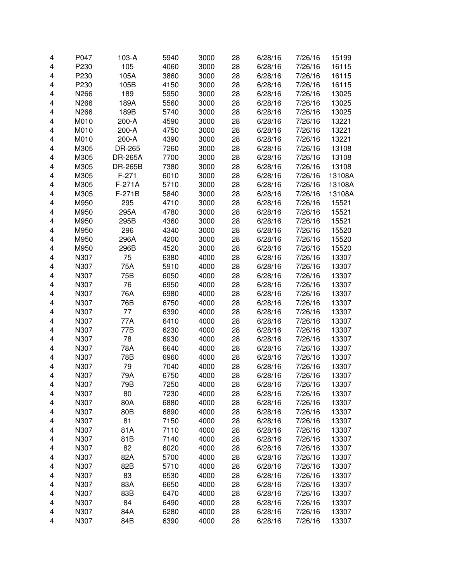| 4      | P047         | 103-A          | 5940 | 3000 | 28 | 6/28/16            | 7/26/16 | 15199  |
|--------|--------------|----------------|------|------|----|--------------------|---------|--------|
| 4      | P230         | 105            | 4060 | 3000 | 28 | 6/28/16            | 7/26/16 | 16115  |
| 4      | P230         | 105A           | 3860 | 3000 | 28 | 6/28/16            | 7/26/16 | 16115  |
| 4      | P230         | 105B           | 4150 | 3000 | 28 | 6/28/16            | 7/26/16 | 16115  |
| 4      | N266         | 189            | 5950 | 3000 | 28 | 6/28/16            | 7/26/16 | 13025  |
| 4      | N266         | 189A           | 5560 | 3000 | 28 | 6/28/16            | 7/26/16 | 13025  |
| 4      | N266         | 189B           | 5740 | 3000 | 28 | 6/28/16            | 7/26/16 | 13025  |
| 4      | M010         | 200-A          | 4590 | 3000 | 28 | 6/28/16            | 7/26/16 | 13221  |
| 4      | M010         | 200-A          | 4750 | 3000 | 28 | 6/28/16            | 7/26/16 | 13221  |
| 4      | M010         | 200-A          | 4390 | 3000 | 28 | 6/28/16            | 7/26/16 | 13221  |
| 4      | M305         | DR-265         | 7260 | 3000 | 28 | 6/28/16            | 7/26/16 | 13108  |
| 4      | M305         | DR-265A        | 7700 | 3000 | 28 | 6/28/16            | 7/26/16 | 13108  |
| 4      | M305         | <b>DR-265B</b> | 7380 | 3000 | 28 | 6/28/16            | 7/26/16 | 13108  |
| 4      | M305         | $F-271$        | 6010 | 3000 | 28 | 6/28/16            | 7/26/16 | 13108A |
| 4      | M305         | F-271A         | 5710 | 3000 | 28 | 6/28/16            | 7/26/16 | 13108A |
| 4      | M305         | $F-271B$       | 5840 | 3000 | 28 | 6/28/16            | 7/26/16 | 13108A |
| 4      | M950         | 295            | 4710 | 3000 | 28 | 6/28/16            | 7/26/16 | 15521  |
| 4      | M950         | 295A           | 4780 | 3000 | 28 | 6/28/16            | 7/26/16 | 15521  |
| 4      | M950         | 295B           | 4360 | 3000 | 28 | 6/28/16            | 7/26/16 | 15521  |
| 4      | M950         | 296            | 4340 | 3000 | 28 | 6/28/16            | 7/26/16 | 15520  |
| 4      | M950         | 296A           | 4200 | 3000 | 28 | 6/28/16            | 7/26/16 | 15520  |
| 4      | M950         | 296B           | 4520 | 3000 | 28 | 6/28/16            | 7/26/16 | 15520  |
| 4      | N307         | 75             | 6380 | 4000 | 28 | 6/28/16            | 7/26/16 | 13307  |
| 4      | N307         | 75A            | 5910 | 4000 | 28 | 6/28/16            | 7/26/16 | 13307  |
| 4      | N307         | 75B            | 6050 | 4000 | 28 | 6/28/16            | 7/26/16 | 13307  |
| 4      | N307         | 76             | 6950 | 4000 | 28 | 6/28/16            | 7/26/16 | 13307  |
| 4      | N307         | 76A            | 6980 | 4000 | 28 | 6/28/16            | 7/26/16 | 13307  |
| 4      | N307         | 76B            | 6750 | 4000 | 28 | 6/28/16            | 7/26/16 | 13307  |
| 4      | N307         | 77             | 6390 | 4000 | 28 | 6/28/16            | 7/26/16 | 13307  |
| 4      | N307         | 77A            | 6410 | 4000 | 28 | 6/28/16            | 7/26/16 | 13307  |
| 4      | N307         | 77B            | 6230 | 4000 | 28 | 6/28/16            | 7/26/16 | 13307  |
| 4      | N307         | 78             | 6930 | 4000 | 28 | 6/28/16            | 7/26/16 | 13307  |
| 4      | N307         | 78A            | 6640 | 4000 | 28 | 6/28/16            | 7/26/16 | 13307  |
| 4      | N307         | 78B            | 6960 | 4000 | 28 | 6/28/16            | 7/26/16 | 13307  |
| 4      | N307         | 79             | 7040 | 4000 | 28 | 6/28/16            | 7/26/16 | 13307  |
| 4      | N307         | 79A            | 6750 | 4000 | 28 | 6/28/16            | 7/26/16 | 13307  |
| 4      | N307         | 79B            | 7250 | 4000 | 28 | 6/28/16            | 7/26/16 | 13307  |
| 4      | N307         | 80             | 7230 | 4000 | 28 | 6/28/16            | 7/26/16 | 13307  |
| 4      | N307         | 80A            | 6880 | 4000 | 28 | 6/28/16            | 7/26/16 | 13307  |
| 4      | N307         | 80B            | 6890 | 4000 | 28 | 6/28/16            | 7/26/16 | 13307  |
| 4      | N307         | 81             | 7150 | 4000 | 28 | 6/28/16            | 7/26/16 | 13307  |
| 4      | N307         | 81A            | 7110 | 4000 | 28 | 6/28/16            | 7/26/16 | 13307  |
| 4      | N307         | 81B            | 7140 | 4000 | 28 | 6/28/16            | 7/26/16 | 13307  |
| 4      | N307         | 82             | 6020 | 4000 | 28 | 6/28/16            | 7/26/16 | 13307  |
| 4      | N307         | 82A            | 5700 | 4000 | 28 | 6/28/16            | 7/26/16 | 13307  |
| 4      | N307         | 82B            | 5710 | 4000 | 28 | 6/28/16            | 7/26/16 | 13307  |
|        | N307         | 83             | 6530 | 4000 | 28 | 6/28/16            | 7/26/16 | 13307  |
| 4<br>4 | N307         | 83A            | 6650 | 4000 | 28 | 6/28/16            | 7/26/16 | 13307  |
| 4      | N307         | 83B            | 6470 |      | 28 | 6/28/16            | 7/26/16 |        |
| 4      |              | 84             | 6490 | 4000 | 28 |                    | 7/26/16 | 13307  |
| 4      | N307<br>N307 | 84A            | 6280 | 4000 | 28 | 6/28/16<br>6/28/16 | 7/26/16 | 13307  |
| 4      | N307         | 84B            |      | 4000 |    |                    |         | 13307  |
|        |              |                | 6390 | 4000 | 28 | 6/28/16            | 7/26/16 | 13307  |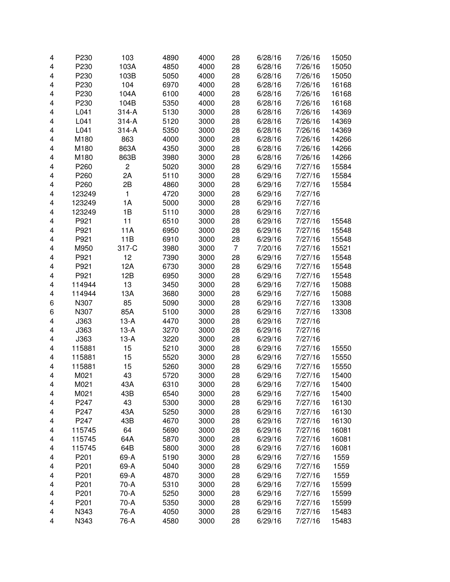| 4 | P230   | 103            | 4890 | 4000 | 28 | 6/28/16 | 7/26/16 | 15050 |
|---|--------|----------------|------|------|----|---------|---------|-------|
| 4 | P230   | 103A           | 4850 | 4000 | 28 | 6/28/16 | 7/26/16 | 15050 |
| 4 | P230   | 103B           | 5050 | 4000 | 28 | 6/28/16 | 7/26/16 | 15050 |
| 4 | P230   | 104            | 6970 | 4000 | 28 | 6/28/16 | 7/26/16 | 16168 |
| 4 | P230   | 104A           | 6100 | 4000 | 28 | 6/28/16 | 7/26/16 | 16168 |
| 4 | P230   | 104B           | 5350 | 4000 | 28 | 6/28/16 | 7/26/16 | 16168 |
| 4 | L041   | 314-A          | 5130 | 3000 | 28 | 6/28/16 | 7/26/16 | 14369 |
| 4 | L041   | 314-A          | 5120 | 3000 | 28 | 6/28/16 | 7/26/16 | 14369 |
| 4 | L041   | 314-A          | 5350 | 3000 | 28 | 6/28/16 | 7/26/16 | 14369 |
| 4 | M180   | 863            | 4000 | 3000 | 28 | 6/28/16 | 7/26/16 | 14266 |
| 4 | M180   | 863A           | 4350 | 3000 | 28 | 6/28/16 | 7/26/16 | 14266 |
| 4 | M180   | 863B           | 3980 | 3000 | 28 | 6/28/16 | 7/26/16 | 14266 |
| 4 | P260   | $\overline{c}$ | 5020 | 3000 | 28 | 6/29/16 | 7/27/16 | 15584 |
| 4 | P260   | 2A             | 5110 | 3000 | 28 | 6/29/16 | 7/27/16 | 15584 |
| 4 | P260   | 2B             | 4860 | 3000 | 28 | 6/29/16 | 7/27/16 | 15584 |
| 4 | 123249 | $\mathbf{1}$   | 4720 | 3000 | 28 | 6/29/16 | 7/27/16 |       |
| 4 | 123249 | 1A             | 5000 | 3000 | 28 | 6/29/16 | 7/27/16 |       |
| 4 | 123249 | 1B             | 5110 | 3000 | 28 | 6/29/16 | 7/27/16 |       |
| 4 | P921   | 11             | 6510 | 3000 | 28 | 6/29/16 | 7/27/16 | 15548 |
| 4 | P921   | 11A            | 6950 | 3000 | 28 | 6/29/16 | 7/27/16 | 15548 |
| 4 | P921   | 11B            | 6910 | 3000 | 28 | 6/29/16 | 7/27/16 | 15548 |
| 4 | M950   | 317-C          | 3980 | 3000 | 7  | 7/20/16 | 7/27/16 | 15521 |
| 4 | P921   | 12             | 7390 | 3000 | 28 | 6/29/16 | 7/27/16 | 15548 |
| 4 | P921   | 12A            | 6730 | 3000 | 28 | 6/29/16 | 7/27/16 | 15548 |
| 4 | P921   | 12B            | 6950 | 3000 | 28 | 6/29/16 | 7/27/16 | 15548 |
| 4 | 114944 | 13             | 3450 | 3000 | 28 | 6/29/16 | 7/27/16 | 15088 |
| 4 | 114944 | 13A            | 3680 | 3000 | 28 | 6/29/16 | 7/27/16 | 15088 |
| 6 | N307   | 85             | 5090 | 3000 | 28 | 6/29/16 | 7/27/16 | 13308 |
| 6 | N307   | 85A            | 5100 | 3000 | 28 | 6/29/16 | 7/27/16 | 13308 |
| 4 | J363   | $13-A$         | 4470 | 3000 | 28 | 6/29/16 | 7/27/16 |       |
| 4 | J363   | $13-A$         | 3270 | 3000 | 28 | 6/29/16 | 7/27/16 |       |
| 4 | J363   | $13-A$         | 3220 | 3000 | 28 | 6/29/16 | 7/27/16 |       |
| 4 | 115881 | 15             | 5210 | 3000 | 28 | 6/29/16 | 7/27/16 | 15550 |
| 4 | 115881 | 15             | 5520 | 3000 | 28 | 6/29/16 | 7/27/16 | 15550 |
| 4 | 115881 | 15             | 5260 | 3000 | 28 | 6/29/16 | 7/27/16 | 15550 |
| 4 | M021   | 43             | 5720 | 3000 | 28 | 6/29/16 | 7/27/16 | 15400 |
| 4 | M021   | 43A            | 6310 | 3000 | 28 | 6/29/16 | 7/27/16 | 15400 |
| 4 | M021   | 43B            | 6540 | 3000 | 28 | 6/29/16 | 7/27/16 | 15400 |
| 4 | P247   | 43             | 5300 | 3000 | 28 | 6/29/16 | 7/27/16 | 16130 |
| 4 | P247   | 43A            | 5250 | 3000 | 28 | 6/29/16 | 7/27/16 | 16130 |
| 4 | P247   | 43B            | 4670 | 3000 | 28 | 6/29/16 | 7/27/16 | 16130 |
| 4 | 115745 | 64             | 5690 | 3000 | 28 | 6/29/16 | 7/27/16 | 16081 |
| 4 | 115745 | 64A            | 5870 | 3000 | 28 | 6/29/16 | 7/27/16 | 16081 |
| 4 | 115745 | 64B            | 5800 | 3000 | 28 | 6/29/16 | 7/27/16 | 16081 |
| 4 | P201   | 69-A           | 5190 | 3000 | 28 | 6/29/16 | 7/27/16 | 1559  |
| 4 | P201   | 69-A           | 5040 | 3000 | 28 | 6/29/16 | 7/27/16 | 1559  |
| 4 | P201   | 69-A           | 4870 | 3000 | 28 | 6/29/16 | 7/27/16 | 1559  |
| 4 | P201   | 70-A           | 5310 | 3000 | 28 | 6/29/16 | 7/27/16 | 15599 |
| 4 | P201   | 70-A           | 5250 | 3000 | 28 | 6/29/16 | 7/27/16 | 15599 |
| 4 | P201   | 70-A           | 5350 | 3000 | 28 | 6/29/16 | 7/27/16 | 15599 |
| 4 | N343   | 76-A           | 4050 | 3000 | 28 | 6/29/16 | 7/27/16 | 15483 |
| 4 | N343   | 76-A           | 4580 | 3000 | 28 | 6/29/16 | 7/27/16 | 15483 |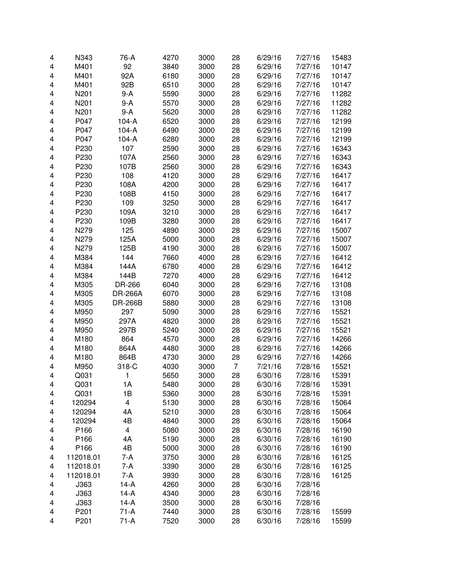| 4270<br>N343<br>76-A<br>3000<br>28<br>4                      | 6/29/16<br>7/27/16 | 15483 |
|--------------------------------------------------------------|--------------------|-------|
| M401<br>92<br>3840<br>3000<br>28<br>4                        | 6/29/16<br>7/27/16 | 10147 |
| M401<br>92A<br>6180<br>4<br>3000<br>28                       | 6/29/16<br>7/27/16 | 10147 |
| 4<br>M401<br>92B<br>6510<br>3000<br>28                       | 6/29/16<br>7/27/16 | 10147 |
| 4<br>N201<br>9-A<br>5590<br>3000<br>28                       | 6/29/16<br>7/27/16 | 11282 |
| N201<br>5570<br>4<br>9-A<br>3000<br>28                       | 6/29/16<br>7/27/16 | 11282 |
| N201<br>5620<br>28<br>4<br>9-A<br>3000                       | 6/29/16<br>7/27/16 | 11282 |
| 4<br>P047<br>6520<br>3000<br>$104-A$<br>28                   | 6/29/16<br>7/27/16 | 12199 |
| 4<br>P047<br>6490<br>3000<br>$104-A$<br>28                   | 6/29/16<br>7/27/16 | 12199 |
| 4<br>P047<br>6280<br>3000<br>28<br>$104-A$                   | 6/29/16<br>7/27/16 | 12199 |
| P230<br>107<br>28<br>4<br>2590<br>3000                       | 6/29/16<br>7/27/16 | 16343 |
| 2560<br>4<br>P230<br>107A<br>3000<br>28                      | 6/29/16<br>7/27/16 | 16343 |
| P230<br>2560<br>4<br>107B<br>3000<br>28                      | 6/29/16<br>7/27/16 | 16343 |
| P230<br>108<br>4120<br>28<br>4<br>3000                       | 6/29/16<br>7/27/16 | 16417 |
| 4<br>P230<br>4200<br>28<br>108A<br>3000                      | 6/29/16<br>7/27/16 | 16417 |
| 4<br>P230<br>4150<br>28<br>108B<br>3000                      | 6/29/16<br>7/27/16 | 16417 |
| 4<br>P230<br>109<br>3250<br>3000<br>28                       | 6/29/16<br>7/27/16 | 16417 |
| 4<br>P230<br>109A<br>3210<br>3000<br>28                      | 6/29/16<br>7/27/16 | 16417 |
| 3280<br>4<br>P230<br>109B<br>3000<br>28                      | 6/29/16<br>7/27/16 | 16417 |
| 125<br>4<br>N279<br>4890<br>3000<br>28                       | 6/29/16<br>7/27/16 | 15007 |
| 5000<br>4<br>N279<br>125A<br>3000<br>28                      | 6/29/16<br>7/27/16 | 15007 |
| N279<br>4190<br>4<br>125B<br>3000<br>28                      | 6/29/16<br>7/27/16 | 15007 |
| 144<br>7660<br>28<br>4<br>M384<br>4000                       | 6/29/16<br>7/27/16 | 16412 |
| 4<br>144A<br>6780<br>4000<br>28<br>M384                      | 6/29/16<br>7/27/16 | 16412 |
| 4<br>144B<br>7270<br>4000<br>28<br>M384                      | 6/29/16<br>7/27/16 | 16412 |
| 4<br>6040<br>3000<br>28<br>M305<br>DR-266                    | 7/27/16<br>6/29/16 | 13108 |
| 4<br>6070<br>3000<br>28<br>M305<br><b>DR-266A</b>            | 7/27/16<br>6/29/16 | 13108 |
| 5880<br>28<br>4<br>M305<br><b>DR-266B</b><br>3000            | 6/29/16<br>7/27/16 | 13108 |
| 4<br>297<br>5090<br>M950<br>3000<br>28                       | 6/29/16<br>7/27/16 | 15521 |
| 4820<br>28<br>4<br>M950<br>297A<br>3000                      | 6/29/16<br>7/27/16 | 15521 |
| 297B<br>5240<br>28<br>4<br>M950<br>3000                      | 7/27/16<br>6/29/16 | 15521 |
| 4<br>M180<br>864<br>4570<br>28<br>3000                       | 6/29/16<br>7/27/16 | 14266 |
| 4<br>M180<br>864A<br>4480<br>28<br>3000                      | 6/29/16<br>7/27/16 | 14266 |
| 4<br>M180<br>4730<br>864B<br>3000<br>28                      | 6/29/16<br>7/27/16 | 14266 |
| 4<br>318-C<br>M950<br>4030<br>3000<br>$\overline{7}$         | 7/21/16<br>7/28/16 | 15521 |
| 28<br>4<br>Q031<br>1<br>5650<br>3000                         | 6/30/16<br>7/28/16 | 15391 |
| 4<br>Q031<br>1А<br>5480<br>3000<br>28                        | 6/30/16<br>7/28/16 | 15391 |
| Q031<br>1B<br>5360<br>3000<br>28<br>4                        | 6/30/16<br>7/28/16 | 15391 |
| $\overline{\mathbf{4}}$<br>5130<br>28<br>120294<br>3000<br>4 | 6/30/16<br>7/28/16 | 15064 |
| 4A<br>28<br>120294<br>5210<br>3000<br>4                      | 6/30/16<br>7/28/16 | 15064 |
| 4B<br>4840<br>3000<br>28<br>4<br>120294                      | 6/30/16<br>7/28/16 | 15064 |
| $\overline{\mathbf{4}}$<br>5080<br>28<br>4<br>P166<br>3000   | 6/30/16<br>7/28/16 | 16190 |
| P166<br>4A<br>5190<br>28<br>4<br>3000                        | 6/30/16<br>7/28/16 | 16190 |
| 4B<br>28<br>P166<br>5000<br>3000<br>4                        | 6/30/16<br>7/28/16 | 16190 |
| $7-A$<br>28<br>112018.01<br>3750<br>3000<br>4                | 6/30/16<br>7/28/16 | 16125 |
| $7-A$<br>28<br>112018.01<br>3390<br>3000<br>4                | 6/30/16<br>7/28/16 | 16125 |
| 7-A<br>3930<br>28<br>112018.01<br>3000<br>4                  | 6/30/16<br>7/28/16 | 16125 |
| J363<br>4260<br>28<br>4<br>$14-A$<br>3000                    | 6/30/16<br>7/28/16 |       |
| J363<br>28<br>4<br>$14-A$<br>4340<br>3000                    | 6/30/16<br>7/28/16 |       |
| 3500<br>28<br>4<br>J363<br>$14-A$<br>3000                    | 6/30/16<br>7/28/16 |       |
| P201<br>$71-A$<br>7440<br>28<br>4<br>3000                    | 6/30/16<br>7/28/16 | 15599 |
| P201<br>$71-A$<br>7520<br>28<br>3000<br>4                    | 6/30/16<br>7/28/16 | 15599 |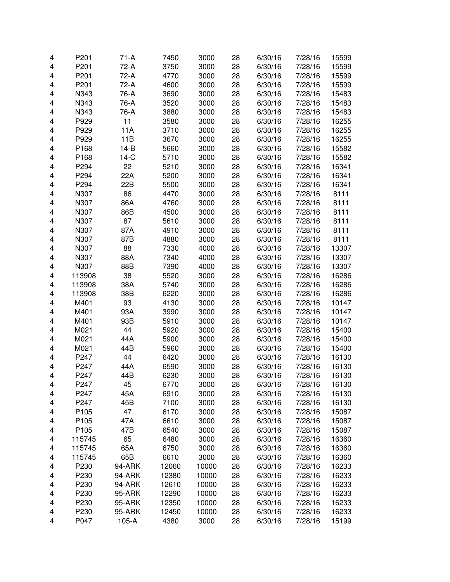| 4 | P201   | $71-A$  | 7450  | 3000  | 28 | 6/30/16 | 7/28/16 | 15599 |
|---|--------|---------|-------|-------|----|---------|---------|-------|
| 4 | P201   | 72-A    | 3750  | 3000  | 28 | 6/30/16 | 7/28/16 | 15599 |
| 4 | P201   | 72-A    | 4770  | 3000  | 28 | 6/30/16 | 7/28/16 | 15599 |
| 4 | P201   | 72-A    | 4600  | 3000  | 28 | 6/30/16 | 7/28/16 | 15599 |
| 4 | N343   | 76-A    | 3690  | 3000  | 28 | 6/30/16 | 7/28/16 | 15483 |
| 4 | N343   | 76-A    | 3520  | 3000  | 28 | 6/30/16 | 7/28/16 | 15483 |
| 4 | N343   | 76-A    | 3880  | 3000  | 28 | 6/30/16 | 7/28/16 | 15483 |
| 4 | P929   | 11      | 3580  | 3000  | 28 | 6/30/16 | 7/28/16 | 16255 |
| 4 | P929   | 11A     | 3710  | 3000  | 28 | 6/30/16 | 7/28/16 | 16255 |
| 4 | P929   | 11B     | 3670  | 3000  | 28 | 6/30/16 | 7/28/16 | 16255 |
| 4 | P168   | $14-B$  | 5660  | 3000  | 28 | 6/30/16 | 7/28/16 | 15582 |
| 4 | P168   | $14-C$  | 5710  | 3000  | 28 | 6/30/16 | 7/28/16 | 15582 |
| 4 | P294   | 22      | 5210  | 3000  | 28 | 6/30/16 | 7/28/16 | 16341 |
| 4 | P294   | 22A     | 5200  | 3000  | 28 | 6/30/16 | 7/28/16 | 16341 |
| 4 | P294   | 22B     | 5500  | 3000  | 28 | 6/30/16 | 7/28/16 | 16341 |
| 4 | N307   | 86      | 4470  | 3000  | 28 | 6/30/16 | 7/28/16 | 8111  |
| 4 | N307   | 86A     | 4760  | 3000  | 28 | 6/30/16 | 7/28/16 | 8111  |
| 4 | N307   | 86B     | 4500  | 3000  | 28 | 6/30/16 | 7/28/16 | 8111  |
| 4 | N307   | 87      | 5610  | 3000  | 28 | 6/30/16 | 7/28/16 | 8111  |
| 4 | N307   | 87A     | 4910  | 3000  | 28 | 6/30/16 | 7/28/16 | 8111  |
| 4 | N307   | 87B     | 4880  | 3000  | 28 | 6/30/16 | 7/28/16 | 8111  |
| 4 | N307   | 88      | 7330  | 4000  | 28 | 6/30/16 | 7/28/16 | 13307 |
| 4 | N307   | 88A     | 7340  | 4000  | 28 | 6/30/16 | 7/28/16 | 13307 |
| 4 | N307   | 88B     | 7390  | 4000  | 28 | 6/30/16 | 7/28/16 | 13307 |
| 4 | 113908 | 38      | 5520  | 3000  | 28 | 6/30/16 | 7/28/16 | 16286 |
| 4 | 113908 | 38A     | 5740  | 3000  | 28 | 6/30/16 | 7/28/16 | 16286 |
| 4 | 113908 | 38B     | 6220  | 3000  | 28 | 6/30/16 | 7/28/16 | 16286 |
| 4 | M401   | 93      | 4130  | 3000  | 28 | 6/30/16 | 7/28/16 | 10147 |
| 4 | M401   | 93A     | 3990  | 3000  | 28 | 6/30/16 | 7/28/16 | 10147 |
| 4 | M401   | 93B     | 5910  | 3000  | 28 | 6/30/16 | 7/28/16 | 10147 |
| 4 | M021   | 44      | 5920  | 3000  | 28 | 6/30/16 | 7/28/16 | 15400 |
| 4 | M021   | 44A     | 5900  | 3000  | 28 | 6/30/16 | 7/28/16 | 15400 |
| 4 | M021   | 44B     | 5960  | 3000  | 28 | 6/30/16 | 7/28/16 | 15400 |
| 4 | P247   | 44      | 6420  | 3000  | 28 | 6/30/16 | 7/28/16 | 16130 |
| 4 | P247   | 44A     | 6590  | 3000  | 28 | 6/30/16 | 7/28/16 | 16130 |
| 4 | P247   | 44B     | 6230  | 3000  | 28 | 6/30/16 | 7/28/16 | 16130 |
| 4 | P247   | 45      | 6770  | 3000  | 28 | 6/30/16 | 7/28/16 | 16130 |
| 4 | P247   | 45A     | 6910  | 3000  | 28 | 6/30/16 | 7/28/16 | 16130 |
| 4 | P247   | 45B     | 7100  | 3000  | 28 | 6/30/16 | 7/28/16 | 16130 |
| 4 | P105   | 47      | 6170  | 3000  | 28 | 6/30/16 | 7/28/16 | 15087 |
| 4 | P105   | 47A     | 6610  | 3000  | 28 | 6/30/16 | 7/28/16 | 15087 |
| 4 | P105   | 47B     | 6540  | 3000  | 28 | 6/30/16 | 7/28/16 | 15087 |
| 4 | 115745 | 65      | 6480  | 3000  | 28 | 6/30/16 | 7/28/16 | 16360 |
| 4 | 115745 | 65A     | 6750  | 3000  | 28 | 6/30/16 | 7/28/16 | 16360 |
| 4 | 115745 | 65B     | 6610  | 3000  | 28 | 6/30/16 | 7/28/16 | 16360 |
| 4 | P230   | 94-ARK  | 12060 | 10000 | 28 | 6/30/16 | 7/28/16 | 16233 |
| 4 | P230   | 94-ARK  | 12380 | 10000 | 28 | 6/30/16 | 7/28/16 | 16233 |
| 4 | P230   | 94-ARK  | 12610 | 10000 | 28 | 6/30/16 | 7/28/16 | 16233 |
| 4 | P230   | 95-ARK  | 12290 | 10000 | 28 | 6/30/16 | 7/28/16 | 16233 |
| 4 | P230   | 95-ARK  | 12350 | 10000 | 28 | 6/30/16 | 7/28/16 | 16233 |
| 4 | P230   | 95-ARK  | 12450 | 10000 | 28 | 6/30/16 | 7/28/16 | 16233 |
| 4 | P047   | $105-A$ | 4380  | 3000  | 28 | 6/30/16 | 7/28/16 | 15199 |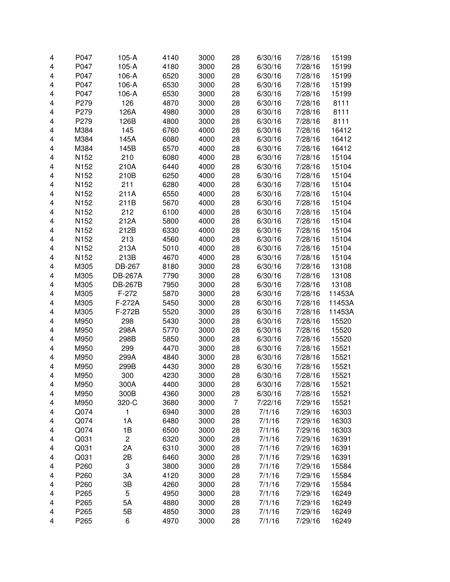| 4 | P047             | $105-A$        | 4140 | 3000 | 28 | 6/30/16 | 7/28/16 | 15199  |
|---|------------------|----------------|------|------|----|---------|---------|--------|
| 4 | P047             | $105-A$        | 4180 | 3000 | 28 | 6/30/16 | 7/28/16 | 15199  |
| 4 | P047             | 106-A          | 6520 | 3000 | 28 | 6/30/16 | 7/28/16 | 15199  |
| 4 | P047             | 106-A          | 6530 | 3000 | 28 | 6/30/16 | 7/28/16 | 15199  |
| 4 | P047             | 106-A          | 6530 | 3000 | 28 | 6/30/16 | 7/28/16 | 15199  |
| 4 | P279             | 126            | 4870 | 3000 | 28 | 6/30/16 | 7/28/16 | 8111   |
| 4 | P279             | 126A           | 4980 | 3000 | 28 | 6/30/16 | 7/28/16 | 8111   |
| 4 | P279             | 126B           | 4800 | 3000 | 28 | 6/30/16 | 7/28/16 | 8111   |
| 4 | M384             | 145            | 6760 | 4000 | 28 | 6/30/16 | 7/28/16 | 16412  |
| 4 | M384             | 145A           | 6080 | 4000 | 28 | 6/30/16 | 7/28/16 | 16412  |
| 4 | M384             | 145B           | 6570 | 4000 | 28 | 6/30/16 | 7/28/16 | 16412  |
| 4 | N152             | 210            | 6080 | 4000 | 28 | 6/30/16 | 7/28/16 | 15104  |
| 4 | N <sub>152</sub> | 210A           | 6440 | 4000 | 28 | 6/30/16 | 7/28/16 | 15104  |
| 4 | N <sub>152</sub> | 210B           | 6250 | 4000 | 28 | 6/30/16 | 7/28/16 | 15104  |
| 4 | N <sub>152</sub> | 211            | 6280 | 4000 | 28 | 6/30/16 | 7/28/16 | 15104  |
| 4 | N <sub>152</sub> | 211A           | 6550 | 4000 | 28 | 6/30/16 | 7/28/16 | 15104  |
| 4 | N152             | 211B           | 5670 | 4000 | 28 | 6/30/16 | 7/28/16 | 15104  |
| 4 | N <sub>152</sub> | 212            | 6100 | 4000 | 28 | 6/30/16 | 7/28/16 | 15104  |
| 4 | N152             | 212A           | 5800 | 4000 | 28 | 6/30/16 | 7/28/16 | 15104  |
| 4 | N <sub>152</sub> | 212B           | 6330 | 4000 | 28 | 6/30/16 | 7/28/16 | 15104  |
| 4 | N <sub>152</sub> | 213            | 4560 | 4000 | 28 | 6/30/16 | 7/28/16 | 15104  |
| 4 | N <sub>152</sub> | 213A           | 5010 | 4000 | 28 | 6/30/16 | 7/28/16 | 15104  |
| 4 | N <sub>152</sub> | 213B           | 4670 | 4000 | 28 | 6/30/16 | 7/28/16 | 15104  |
| 4 | M305             | DB-267         | 8180 | 3000 | 28 | 6/30/16 | 7/28/16 | 13108  |
| 4 | M305             | <b>DB-267A</b> | 7790 | 3000 | 28 | 6/30/16 | 7/28/16 | 13108  |
| 4 | M305             | <b>DB-267B</b> | 7950 | 3000 | 28 | 6/30/16 | 7/28/16 | 13108  |
| 4 | M305             | $F-272$        | 5870 | 3000 | 28 | 6/30/16 | 7/28/16 | 11453A |
| 4 | M305             | F-272A         | 5450 | 3000 | 28 | 6/30/16 | 7/28/16 | 11453A |
| 4 | M305             | F-272B         | 5520 | 3000 | 28 | 6/30/16 | 7/28/16 | 11453A |
| 4 | M950             | 298            | 5430 | 3000 | 28 | 6/30/16 | 7/28/16 | 15520  |
| 4 | M950             | 298A           | 5770 | 3000 | 28 | 6/30/16 | 7/28/16 | 15520  |
| 4 | M950             | 298B           | 5850 | 3000 | 28 | 6/30/16 | 7/28/16 | 15520  |
| 4 | M950             | 299            | 4470 | 3000 | 28 | 6/30/16 | 7/28/16 | 15521  |
| 4 | M950             | 299A           | 4840 | 3000 | 28 | 6/30/16 | 7/28/16 | 15521  |
| 4 | M950             | 299B           | 4430 | 3000 | 28 | 6/30/16 | 7/28/16 | 15521  |
| 4 | M950             | 300            | 4230 | 3000 | 28 | 6/30/16 | 7/28/16 | 15521  |
| 4 | M950             | 300A           | 4400 | 3000 | 28 | 6/30/16 | 7/28/16 | 15521  |
| 4 | M950             | 300B           | 4360 | 3000 | 28 | 6/30/16 | 7/28/16 | 15521  |
| 4 | M950             | 320-C          | 3680 | 3000 | 7  | 7/22/16 | 7/29/16 | 15521  |
| 4 | Q074             | 1              | 6940 | 3000 | 28 | 7/1/16  | 7/29/16 | 16303  |
| 4 | Q074             | 1A             | 6480 | 3000 | 28 | 7/1/16  | 7/29/16 | 16303  |
| 4 | Q074             | 1B             | 6500 | 3000 | 28 | 7/1/16  | 7/29/16 | 16303  |
| 4 | Q031             | $\overline{c}$ | 6320 | 3000 | 28 | 7/1/16  | 7/29/16 | 16391  |
| 4 | Q031             | 2A             | 6310 | 3000 | 28 | 7/1/16  | 7/29/16 | 16391  |
| 4 | Q031             | 2B             | 6460 | 3000 | 28 | 7/1/16  | 7/29/16 | 16391  |
| 4 | P260             | 3              | 3800 | 3000 | 28 | 7/1/16  | 7/29/16 | 15584  |
| 4 | P260             | 3A             | 4120 | 3000 | 28 | 7/1/16  | 7/29/16 | 15584  |
| 4 | P260             | 3B             | 4260 | 3000 | 28 | 7/1/16  | 7/29/16 | 15584  |
| 4 | P265             | 5              | 4950 | 3000 | 28 | 7/1/16  | 7/29/16 | 16249  |
| 4 | P265             | 5A             | 4880 | 3000 | 28 | 7/1/16  | 7/29/16 | 16249  |
| 4 | P265             | 5B             | 4850 | 3000 | 28 | 7/1/16  | 7/29/16 | 16249  |
| 4 | P265             | 6              | 4970 | 3000 | 28 | 7/1/16  | 7/29/16 | 16249  |
|   |                  |                |      |      |    |         |         |        |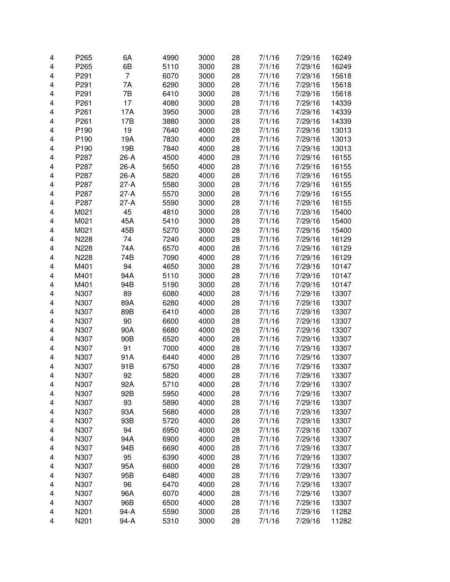| 4 | P265             | 6A             | 4990 | 3000 | 28 | 7/1/16 | 7/29/16 | 16249 |
|---|------------------|----------------|------|------|----|--------|---------|-------|
| 4 | P265             | 6B             | 5110 | 3000 | 28 | 7/1/16 | 7/29/16 | 16249 |
| 4 | P <sub>291</sub> | $\overline{7}$ | 6070 | 3000 | 28 | 7/1/16 | 7/29/16 | 15618 |
| 4 | P291             | 7A             | 6290 | 3000 | 28 | 7/1/16 | 7/29/16 | 15618 |
| 4 | P <sub>291</sub> | 7B             | 6410 | 3000 | 28 | 7/1/16 | 7/29/16 | 15618 |
| 4 | P261             | 17             | 4080 | 3000 | 28 | 7/1/16 | 7/29/16 | 14339 |
| 4 | P261             | 17A            | 3950 | 3000 | 28 | 7/1/16 | 7/29/16 | 14339 |
| 4 | P <sub>261</sub> | 17B            | 3880 | 3000 | 28 | 7/1/16 | 7/29/16 | 14339 |
| 4 | P <sub>190</sub> | 19             | 7640 | 4000 | 28 | 7/1/16 | 7/29/16 | 13013 |
| 4 | P <sub>190</sub> | 19A            | 7830 | 4000 | 28 | 7/1/16 | 7/29/16 | 13013 |
| 4 | P <sub>190</sub> | 19B            | 7840 | 4000 | 28 | 7/1/16 | 7/29/16 | 13013 |
| 4 | P287             | $26-A$         | 4500 | 4000 | 28 | 7/1/16 | 7/29/16 | 16155 |
| 4 | P287             | 26-A           | 5650 | 4000 | 28 | 7/1/16 | 7/29/16 | 16155 |
| 4 | P287             | 26-A           | 5820 | 4000 | 28 | 7/1/16 | 7/29/16 | 16155 |
| 4 | P287             | $27-A$         | 5580 | 3000 | 28 | 7/1/16 | 7/29/16 | 16155 |
| 4 | P287             | $27-A$         | 5570 | 3000 | 28 | 7/1/16 | 7/29/16 | 16155 |
| 4 | P287             | $27-A$         | 5590 | 3000 | 28 | 7/1/16 | 7/29/16 | 16155 |
| 4 | M021             | 45             | 4810 | 3000 | 28 | 7/1/16 | 7/29/16 | 15400 |
| 4 | M021             | 45A            | 5410 | 3000 | 28 | 7/1/16 | 7/29/16 | 15400 |
| 4 | M021             | 45B            | 5270 | 3000 | 28 | 7/1/16 | 7/29/16 | 15400 |
| 4 | N228             | 74             | 7240 | 4000 | 28 | 7/1/16 | 7/29/16 | 16129 |
| 4 | N228             | 74A            | 6570 | 4000 | 28 | 7/1/16 | 7/29/16 | 16129 |
| 4 | N228             | 74B            | 7090 | 4000 | 28 | 7/1/16 | 7/29/16 | 16129 |
| 4 | M401             | 94             | 4650 | 3000 | 28 | 7/1/16 | 7/29/16 | 10147 |
| 4 | M401             | 94A            | 5110 | 3000 | 28 | 7/1/16 | 7/29/16 | 10147 |
| 4 | M401             | 94B            | 5190 | 3000 | 28 | 7/1/16 | 7/29/16 | 10147 |
| 4 | N307             | 89             | 6080 | 4000 | 28 | 7/1/16 | 7/29/16 | 13307 |
| 4 | N307             | 89A            | 6280 | 4000 | 28 | 7/1/16 | 7/29/16 | 13307 |
| 4 | N307             | 89B            | 6410 | 4000 | 28 | 7/1/16 | 7/29/16 | 13307 |
| 4 | N307             | 90             | 6600 | 4000 | 28 | 7/1/16 | 7/29/16 | 13307 |
| 4 | N307             | 90A            | 6680 | 4000 | 28 | 7/1/16 | 7/29/16 | 13307 |
| 4 | N307             | 90B            | 6520 | 4000 | 28 | 7/1/16 | 7/29/16 | 13307 |
| 4 | N307             | 91             | 7000 | 4000 | 28 | 7/1/16 | 7/29/16 | 13307 |
| 4 | N307             | 91A            | 6440 | 4000 | 28 | 7/1/16 | 7/29/16 | 13307 |
| 4 | N307             | 91B            | 6750 | 4000 | 28 | 7/1/16 | 7/29/16 | 13307 |
| 4 | N307             | 92             | 5820 | 4000 | 28 | 7/1/16 | 7/29/16 | 13307 |
| 4 | N307             | 92A            | 5710 | 4000 | 28 | 7/1/16 | 7/29/16 | 13307 |
| 4 | N307             | 92B            | 5950 | 4000 | 28 | 7/1/16 | 7/29/16 | 13307 |
| 4 | N307             | 93             | 5890 | 4000 | 28 | 7/1/16 | 7/29/16 | 13307 |
| 4 | N307             | 93A            | 5680 | 4000 | 28 | 7/1/16 | 7/29/16 | 13307 |
| 4 | N307             | 93B            | 5720 | 4000 | 28 | 7/1/16 | 7/29/16 | 13307 |
| 4 | N307             | 94             | 6950 | 4000 | 28 | 7/1/16 | 7/29/16 | 13307 |
| 4 | N307             | 94A            | 6900 | 4000 | 28 | 7/1/16 | 7/29/16 | 13307 |
| 4 | N307             | 94B            | 6690 | 4000 | 28 | 7/1/16 | 7/29/16 | 13307 |
| 4 | N307             | 95             | 6390 | 4000 | 28 | 7/1/16 | 7/29/16 | 13307 |
| 4 | N307             | 95A            | 6600 | 4000 | 28 | 7/1/16 | 7/29/16 | 13307 |
| 4 | N307             | 95B            | 6480 | 4000 | 28 | 7/1/16 | 7/29/16 | 13307 |
| 4 | N307             | 96             | 6470 | 4000 | 28 | 7/1/16 | 7/29/16 | 13307 |
| 4 | N307             | 96A            | 6070 | 4000 | 28 | 7/1/16 | 7/29/16 | 13307 |
| 4 | N307             | 96B            | 6500 | 4000 | 28 | 7/1/16 | 7/29/16 | 13307 |
| 4 | N201             | 94-A           | 5590 | 3000 | 28 | 7/1/16 | 7/29/16 | 11282 |
| 4 | N201             | 94-A           | 5310 | 3000 | 28 | 7/1/16 | 7/29/16 | 11282 |